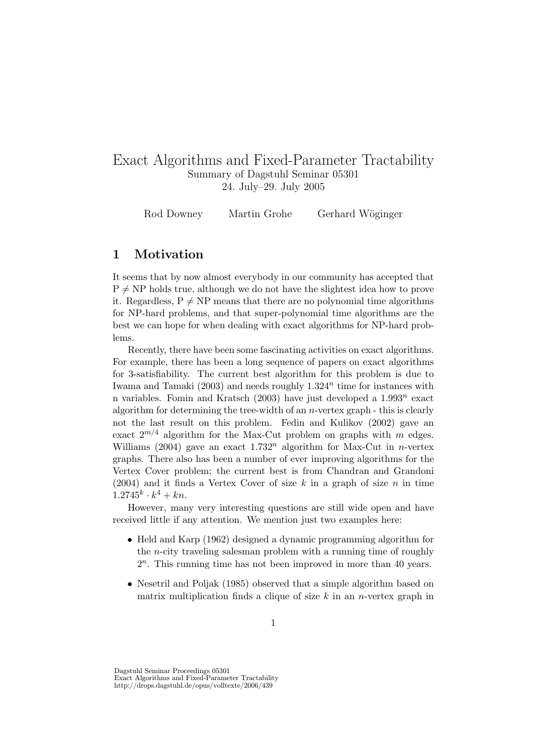# Exact Algorithms and Fixed-Parameter Tractability Summary of Dagstuhl Seminar 05301 24. July–29. July 2005

Rod Downey Martin Grohe Gerhard Wöginger

## 1 Motivation

It seems that by now almost everybody in our community has accepted that  $P \neq NP$  holds true, although we do not have the slightest idea how to prove it. Regardless,  $P \neq NP$  means that there are no polynomial time algorithms for NP-hard problems, and that super-polynomial time algorithms are the best we can hope for when dealing with exact algorithms for NP-hard problems.

Recently, there have been some fascinating activities on exact algorithms. For example, there has been a long sequence of papers on exact algorithms for 3-satisfiability. The current best algorithm for this problem is due to Iwama and Tamaki  $(2003)$  and needs roughly  $1.324<sup>n</sup>$  time for instances with n variables. Fomin and Kratsch  $(2003)$  have just developed a  $1.993<sup>n</sup>$  exact algorithm for determining the tree-width of an  $n$ -vertex graph  $-$  this is clearly not the last result on this problem. Fedin and Kulikov (2002) gave an exact  $2^{m/4}$  algorithm for the Max-Cut problem on graphs with m edges. Williams (2004) gave an exact  $1.732<sup>n</sup>$  algorithm for Max-Cut in *n*-vertex graphs. There also has been a number of ever improving algorithms for the Vertex Cover problem; the current best is from Chandran and Grandoni (2004) and it finds a Vertex Cover of size  $k$  in a graph of size  $n$  in time  $1.2745^k \cdot k^4 + kn$ .

However, many very interesting questions are still wide open and have received little if any attention. We mention just two examples here:

- Held and Karp (1962) designed a dynamic programming algorithm for the n-city traveling salesman problem with a running time of roughly 2 n . This running time has not been improved in more than 40 years.
- Nesetril and Poljak (1985) observed that a simple algorithm based on matrix multiplication finds a clique of size  $k$  in an *n*-vertex graph in

Dagstuhl Seminar Proceedings 05301 Exact Algorithms and Fixed-Parameter Tractability http://drops.dagstuhl.de/opus/volltexte/2006/439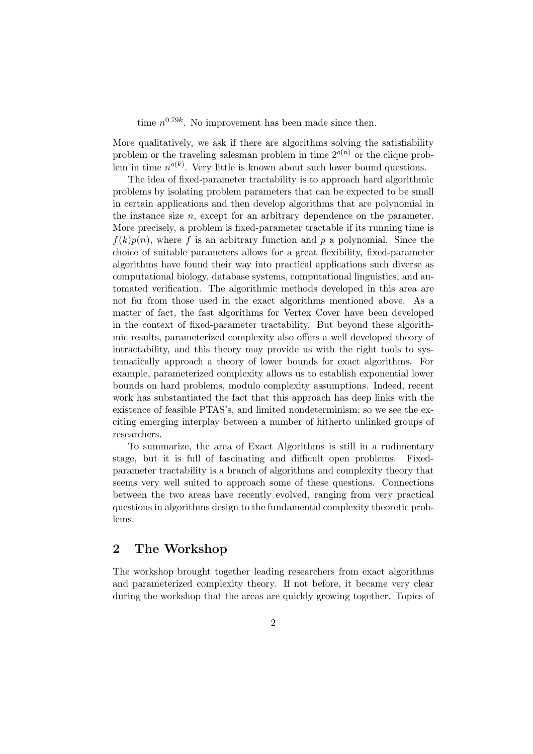time  $n^{0.79k}$ . No improvement has been made since then.

More qualitatively, we ask if there are algorithms solving the satisfiability problem or the traveling salesman problem in time  $2^{o(n)}$  or the clique problem in time  $n^{o(k)}$ . Very little is known about such lower bound questions.

The idea of fixed-parameter tractability is to approach hard algorithmic problems by isolating problem parameters that can be expected to be small in certain applications and then develop algorithms that are polynomial in the instance size  $n$ , except for an arbitrary dependence on the parameter. More precisely, a problem is fixed-parameter tractable if its running time is  $f(k)p(n)$ , where f is an arbitrary function and p a polynomial. Since the choice of suitable parameters allows for a great flexibility, fixed-parameter algorithms have found their way into practical applications such diverse as computational biology, database systems, computational linguistics, and automated verification. The algorithmic methods developed in this area are not far from those used in the exact algorithms mentioned above. As a matter of fact, the fast algorithms for Vertex Cover have been developed in the context of fixed-parameter tractability. But beyond these algorithmic results, parameterized complexity also offers a well developed theory of intractability, and this theory may provide us with the right tools to systematically approach a theory of lower bounds for exact algorithms. For example, parameterized complexity allows us to establish exponential lower bounds on hard problems, modulo complexity assumptions. Indeed, recent work has substantiated the fact that this approach has deep links with the existence of feasible PTAS's, and limited nondeterminism; so we see the exciting emerging interplay between a number of hitherto unlinked groups of researchers.

To summarize, the area of Exact Algorithms is still in a rudimentary stage, but it is full of fascinating and difficult open problems. Fixedparameter tractability is a branch of algorithms and complexity theory that seems very well suited to approach some of these questions. Connections between the two areas have recently evolved, ranging from very practical questions in algorithms design to the fundamental complexity theoretic problems.

## 2 The Workshop

The workshop brought together leading researchers from exact algorithms and parameterized complexity theory. If not before, it became very clear during the workshop that the areas are quickly growing together. Topics of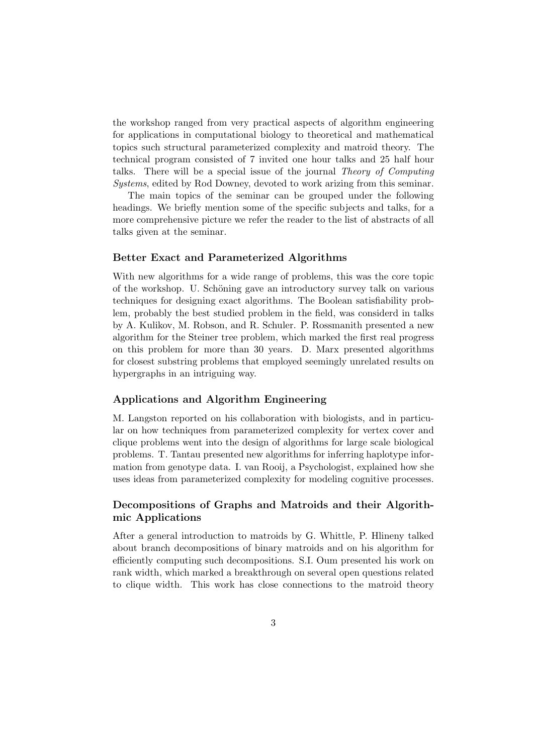the workshop ranged from very practical aspects of algorithm engineering for applications in computational biology to theoretical and mathematical topics such structural parameterized complexity and matroid theory. The technical program consisted of 7 invited one hour talks and 25 half hour talks. There will be a special issue of the journal Theory of Computing Systems, edited by Rod Downey, devoted to work arizing from this seminar.

The main topics of the seminar can be grouped under the following headings. We briefly mention some of the specific subjects and talks, for a more comprehensive picture we refer the reader to the list of abstracts of all talks given at the seminar.

#### Better Exact and Parameterized Algorithms

With new algorithms for a wide range of problems, this was the core topic of the workshop. U. Schöning gave an introductory survey talk on various techniques for designing exact algorithms. The Boolean satisfiability problem, probably the best studied problem in the field, was considerd in talks by A. Kulikov, M. Robson, and R. Schuler. P. Rossmanith presented a new algorithm for the Steiner tree problem, which marked the first real progress on this problem for more than 30 years. D. Marx presented algorithms for closest substring problems that employed seemingly unrelated results on hypergraphs in an intriguing way.

#### Applications and Algorithm Engineering

M. Langston reported on his collaboration with biologists, and in particular on how techniques from parameterized complexity for vertex cover and clique problems went into the design of algorithms for large scale biological problems. T. Tantau presented new algorithms for inferring haplotype information from genotype data. I. van Rooij, a Psychologist, explained how she uses ideas from parameterized complexity for modeling cognitive processes.

## Decompositions of Graphs and Matroids and their Algorithmic Applications

After a general introduction to matroids by G. Whittle, P. Hlineny talked about branch decompositions of binary matroids and on his algorithm for efficiently computing such decompositions. S.I. Oum presented his work on rank width, which marked a breakthrough on several open questions related to clique width. This work has close connections to the matroid theory